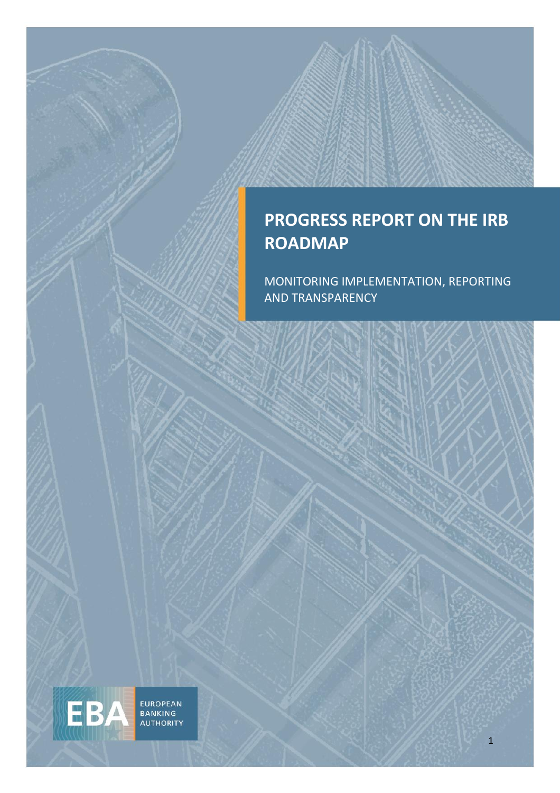### **PROGRESS REPORT ON THE IRB ROADMAP**

MONITORING IMPLEMENTATION, REPORTING AND TRANSPARENCY

EUROPEAN<br>BANKING<br>AUTHORITY

EBA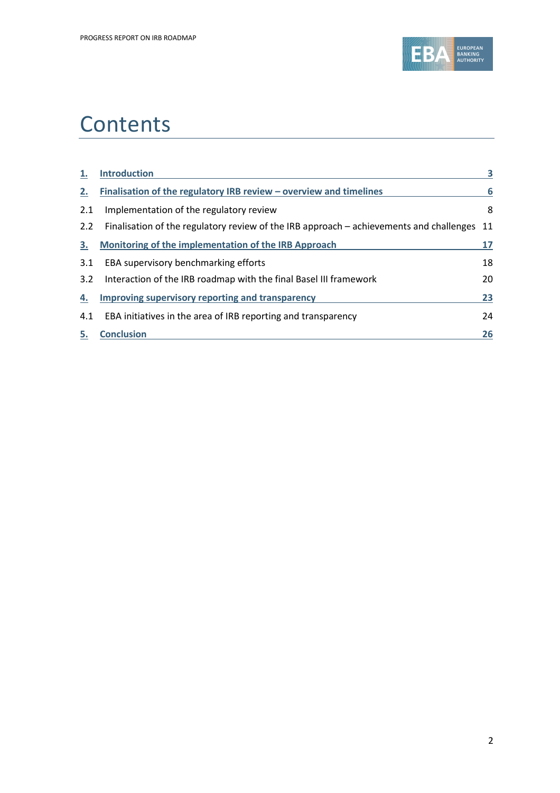

## **Contents**

| 1.  | <b>Introduction</b>                                                                     | 3  |
|-----|-----------------------------------------------------------------------------------------|----|
| 2.  | Finalisation of the regulatory IRB review $-$ overview and timelines                    | 6  |
| 2.1 | Implementation of the regulatory review                                                 | 8  |
| 2.2 | Finalisation of the regulatory review of the IRB approach – achievements and challenges | 11 |
| 3.  | Monitoring of the implementation of the IRB Approach                                    | 17 |
| 3.1 | EBA supervisory benchmarking efforts                                                    | 18 |
| 3.2 | Interaction of the IRB roadmap with the final Basel III framework                       | 20 |
| 4.  | Improving supervisory reporting and transparency                                        | 23 |
| 4.1 | EBA initiatives in the area of IRB reporting and transparency                           | 24 |
| 5.  | <b>Conclusion</b>                                                                       | 26 |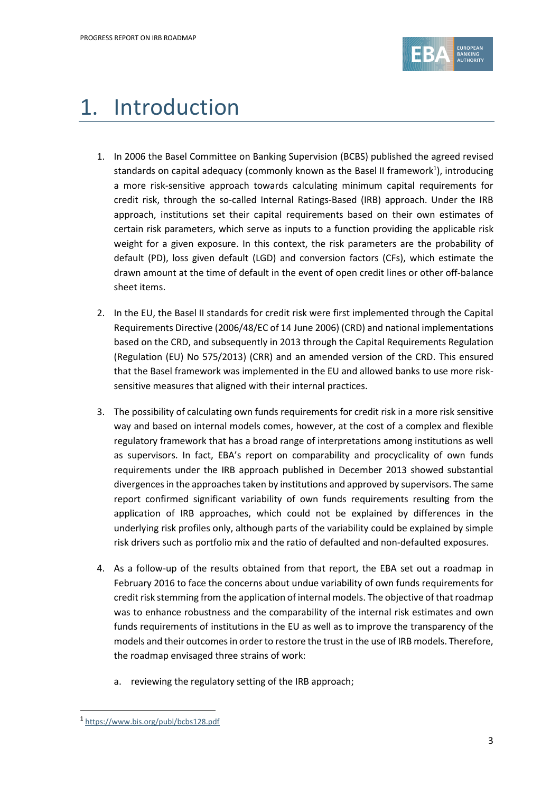

# 1. Introduction

- 1. In 2006 the Basel Committee on Banking Supervision (BCBS) published the agreed revised standards on capital adequacy (commonly known as the Basel II framework<sup>1</sup>), introducing a more risk-sensitive approach towards calculating minimum capital requirements for credit risk, through the so-called Internal Ratings-Based (IRB) approach. Under the IRB approach, institutions set their capital requirements based on their own estimates of certain risk parameters, which serve as inputs to a function providing the applicable risk weight for a given exposure. In this context, the risk parameters are the probability of default (PD), loss given default (LGD) and conversion factors (CFs), which estimate the drawn amount at the time of default in the event of open credit lines or other off-balance sheet items.
- 2. In the EU, the Basel II standards for credit risk were first implemented through the Capital Requirements Directive (2006/48/EC of 14 June 2006) (CRD) and national implementations based on the CRD, and subsequently in 2013 through the Capital Requirements Regulation (Regulation (EU) No 575/2013) (CRR) and an amended version of the CRD. This ensured that the Basel framework was implemented in the EU and allowed banks to use more risksensitive measures that aligned with their internal practices.
- 3. The possibility of calculating own funds requirements for credit risk in a more risk sensitive way and based on internal models comes, however, at the cost of a complex and flexible regulatory framework that has a broad range of interpretations among institutions as well as supervisors. In fact, EBA's report on comparability and procyclicality of own funds requirements under the IRB approach published in December 2013 showed substantial divergences in the approaches taken by institutions and approved by supervisors. The same report confirmed significant variability of own funds requirements resulting from the application of IRB approaches, which could not be explained by differences in the underlying risk profiles only, although parts of the variability could be explained by simple risk drivers such as portfolio mix and the ratio of defaulted and non-defaulted exposures.
- 4. As a follow-up of the results obtained from that report, the EBA set out a roadmap in February 2016 to face the concerns about undue variability of own funds requirements for credit risk stemming from the application of internal models. The objective of that roadmap was to enhance robustness and the comparability of the internal risk estimates and own funds requirements of institutions in the EU as well as to improve the transparency of the models and their outcomes in order to restore the trust in the use of IRB models. Therefore, the roadmap envisaged three strains of work:
	- a. reviewing the regulatory setting of the IRB approach;

<sup>1</sup> <https://www.bis.org/publ/bcbs128.pdf>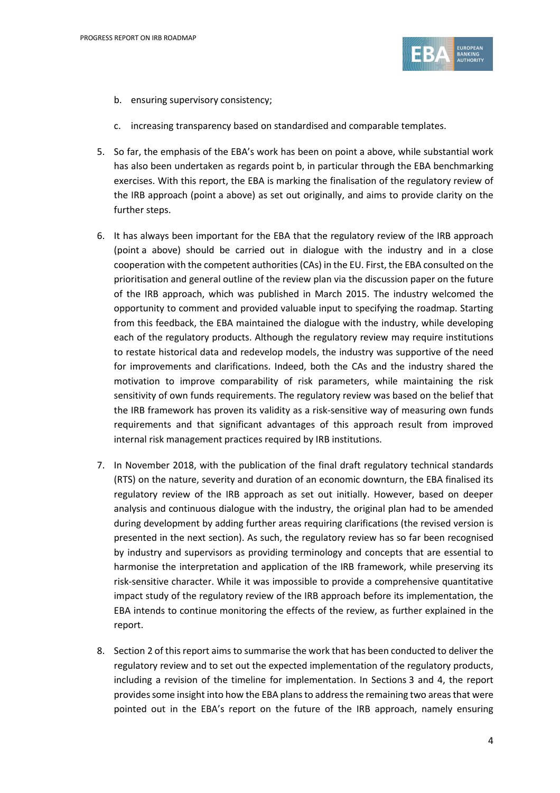

- b. ensuring supervisory consistency;
- c. increasing transparency based on standardised and comparable templates.
- 5. So far, the emphasis of the EBA's work has been on point a above, while substantial work has also been undertaken as regards point b, in particular through the EBA benchmarking exercises. With this report, the EBA is marking the finalisation of the regulatory review of the IRB approach (point a above) as set out originally, and aims to provide clarity on the further steps.
- 6. It has always been important for the EBA that the regulatory review of the IRB approach (point a above) should be carried out in dialogue with the industry and in a close cooperation with the competent authorities(CAs) in the EU. First, the EBA consulted on the prioritisation and general outline of the review plan via the discussion paper on the future of the IRB approach, which was published in March 2015. The industry welcomed the opportunity to comment and provided valuable input to specifying the roadmap. Starting from this feedback, the EBA maintained the dialogue with the industry, while developing each of the regulatory products. Although the regulatory review may require institutions to restate historical data and redevelop models, the industry was supportive of the need for improvements and clarifications. Indeed, both the CAs and the industry shared the motivation to improve comparability of risk parameters, while maintaining the risk sensitivity of own funds requirements. The regulatory review was based on the belief that the IRB framework has proven its validity as a risk-sensitive way of measuring own funds requirements and that significant advantages of this approach result from improved internal risk management practices required by IRB institutions.
- 7. In November 2018, with the publication of the final draft regulatory technical standards (RTS) on the nature, severity and duration of an economic downturn, the EBA finalised its regulatory review of the IRB approach as set out initially. However, based on deeper analysis and continuous dialogue with the industry, the original plan had to be amended during development by adding further areas requiring clarifications (the revised version is presented in the next section). As such, the regulatory review has so far been recognised by industry and supervisors as providing terminology and concepts that are essential to harmonise the interpretation and application of the IRB framework, while preserving its risk-sensitive character. While it was impossible to provide a comprehensive quantitative impact study of the regulatory review of the IRB approach before its implementation, the EBA intends to continue monitoring the effects of the review, as further explained in the report.
- 8. Section 2 of this report aims to summarise the work that has been conducted to deliver the regulatory review and to set out the expected implementation of the regulatory products, including a revision of the timeline for implementation. In Sections 3 and 4, the report provides some insight into how the EBA plans to address the remaining two areas that were pointed out in the EBA's report on the future of the IRB approach, namely ensuring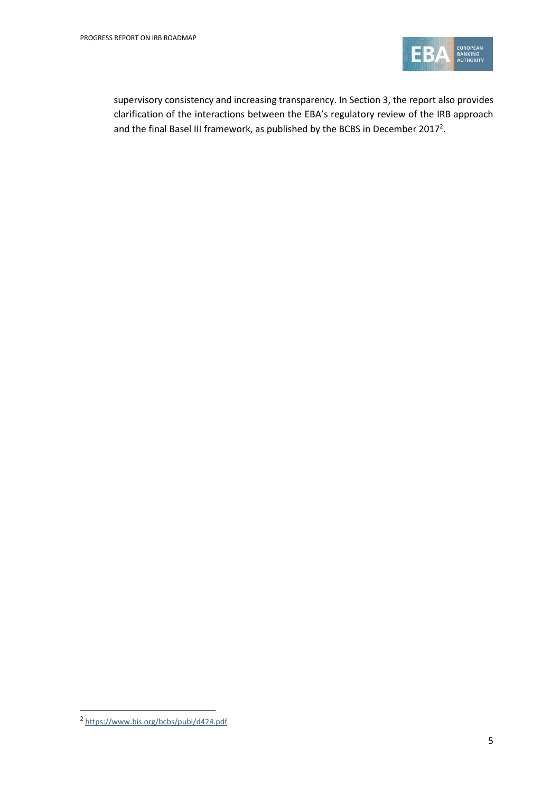

supervisory consistency and increasing transparency. In Section 3, the report also provides clarification of the interactions between the EBA's regulatory review of the IRB approach and the final Basel III framework, as published by the BCBS in December 2017<sup>2</sup>.

<sup>2</sup> <https://www.bis.org/bcbs/publ/d424.pdf>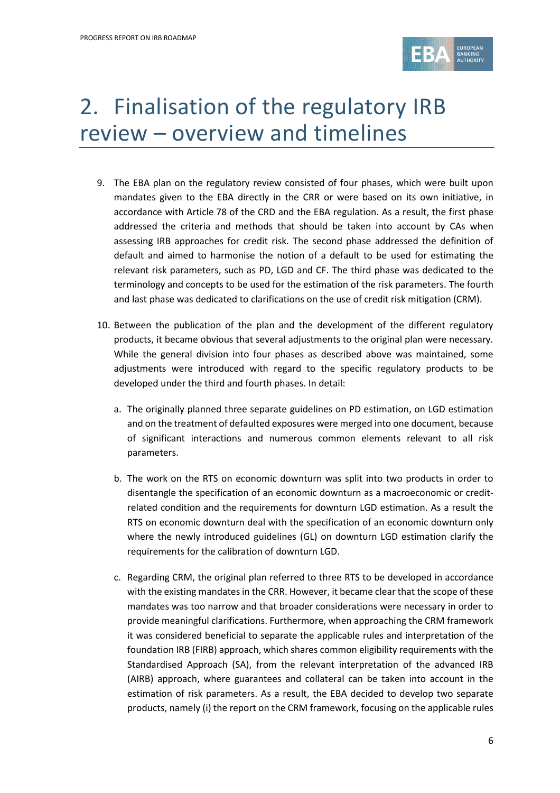

# 2. Finalisation of the regulatory IRB review – overview and timelines

- 9. The EBA plan on the regulatory review consisted of four phases, which were built upon mandates given to the EBA directly in the CRR or were based on its own initiative, in accordance with Article 78 of the CRD and the EBA regulation. As a result, the first phase addressed the criteria and methods that should be taken into account by CAs when assessing IRB approaches for credit risk. The second phase addressed the definition of default and aimed to harmonise the notion of a default to be used for estimating the relevant risk parameters, such as PD, LGD and CF. The third phase was dedicated to the terminology and concepts to be used for the estimation of the risk parameters. The fourth and last phase was dedicated to clarifications on the use of credit risk mitigation (CRM).
- 10. Between the publication of the plan and the development of the different regulatory products, it became obvious that several adjustments to the original plan were necessary. While the general division into four phases as described above was maintained, some adjustments were introduced with regard to the specific regulatory products to be developed under the third and fourth phases. In detail:
	- a. The originally planned three separate guidelines on PD estimation, on LGD estimation and on the treatment of defaulted exposures were merged into one document, because of significant interactions and numerous common elements relevant to all risk parameters.
	- b. The work on the RTS on economic downturn was split into two products in order to disentangle the specification of an economic downturn as a macroeconomic or creditrelated condition and the requirements for downturn LGD estimation. As a result the RTS on economic downturn deal with the specification of an economic downturn only where the newly introduced guidelines (GL) on downturn LGD estimation clarify the requirements for the calibration of downturn LGD.
	- c. Regarding CRM, the original plan referred to three RTS to be developed in accordance with the existing mandates in the CRR. However, it became clear that the scope of these mandates was too narrow and that broader considerations were necessary in order to provide meaningful clarifications. Furthermore, when approaching the CRM framework it was considered beneficial to separate the applicable rules and interpretation of the foundation IRB (FIRB) approach, which shares common eligibility requirements with the Standardised Approach (SA), from the relevant interpretation of the advanced IRB (AIRB) approach, where guarantees and collateral can be taken into account in the estimation of risk parameters. As a result, the EBA decided to develop two separate products, namely (i) the report on the CRM framework, focusing on the applicable rules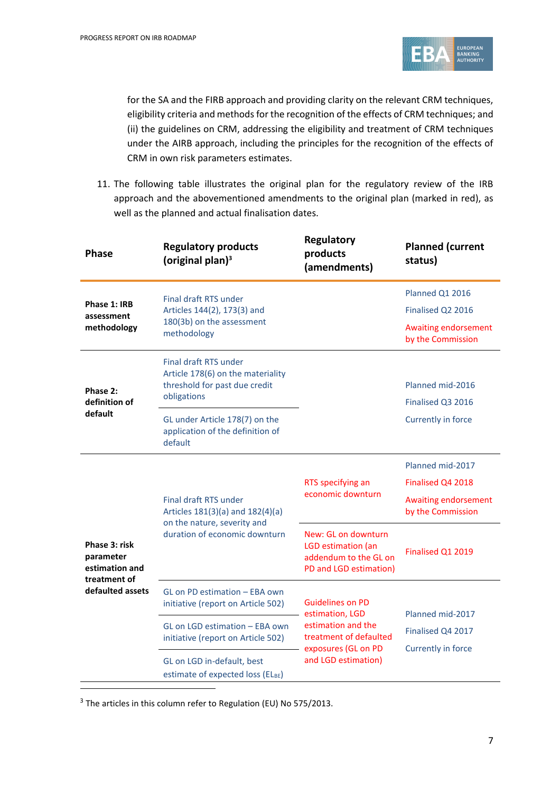

for the SA and the FIRB approach and providing clarity on the relevant CRM techniques, eligibility criteria and methods for the recognition of the effects of CRM techniques; and (ii) the guidelines on CRM, addressing the eligibility and treatment of CRM techniques under the AIRB approach, including the principles for the recognition of the effects of CRM in own risk parameters estimates.

11. The following table illustrates the original plan for the regulatory review of the IRB approach and the abovementioned amendments to the original plan (marked in red), as well as the planned and actual finalisation dates.

| <b>Phase</b>                                                 | <b>Regulatory products</b><br>(original plan) $3$                                                          | <b>Regulatory</b><br>products<br>(amendments)                                                                                            | <b>Planned (current</b><br>status)               |
|--------------------------------------------------------------|------------------------------------------------------------------------------------------------------------|------------------------------------------------------------------------------------------------------------------------------------------|--------------------------------------------------|
|                                                              | Final draft RTS under<br>Articles 144(2), 173(3) and<br>180(3b) on the assessment<br>methodology           |                                                                                                                                          | Planned Q1 2016                                  |
| Phase 1: IRB<br>assessment                                   |                                                                                                            |                                                                                                                                          | Finalised Q2 2016                                |
| methodology                                                  |                                                                                                            |                                                                                                                                          | <b>Awaiting endorsement</b><br>by the Commission |
| Phase 2:<br>definition of                                    | Final draft RTS under<br>Article 178(6) on the materiality<br>threshold for past due credit<br>obligations |                                                                                                                                          | Planned mid-2016<br>Finalised Q3 2016            |
| default                                                      | GL under Article 178(7) on the<br>application of the definition of<br>default                              |                                                                                                                                          | Currently in force                               |
|                                                              | <b>Final draft RTS under</b><br>Articles 181(3)(a) and 182(4)(a)                                           | RTS specifying an<br>economic downturn                                                                                                   | Planned mid-2017                                 |
|                                                              |                                                                                                            |                                                                                                                                          | Finalised Q4 2018                                |
|                                                              |                                                                                                            |                                                                                                                                          | <b>Awaiting endorsement</b><br>by the Commission |
| Phase 3: risk<br>parameter<br>estimation and<br>treatment of | on the nature, severity and<br>duration of economic downturn                                               | New: GL on downturn<br>LGD estimation (an<br>addendum to the GL on<br>PD and LGD estimation)                                             | Finalised Q1 2019                                |
| defaulted assets                                             | GL on PD estimation - EBA own<br>initiative (report on Article 502)                                        | <b>Guidelines on PD</b><br>estimation, LGD<br>estimation and the<br>treatment of defaulted<br>exposures (GL on PD<br>and LGD estimation) |                                                  |
|                                                              | GL on LGD estimation - EBA own<br>initiative (report on Article 502)                                       |                                                                                                                                          | Planned mid-2017<br>Finalised Q4 2017            |
|                                                              | GL on LGD in-default, best<br>estimate of expected loss (ELBE)                                             |                                                                                                                                          | Currently in force                               |

<sup>3</sup> The articles in this column refer to Regulation (EU) No 575/2013.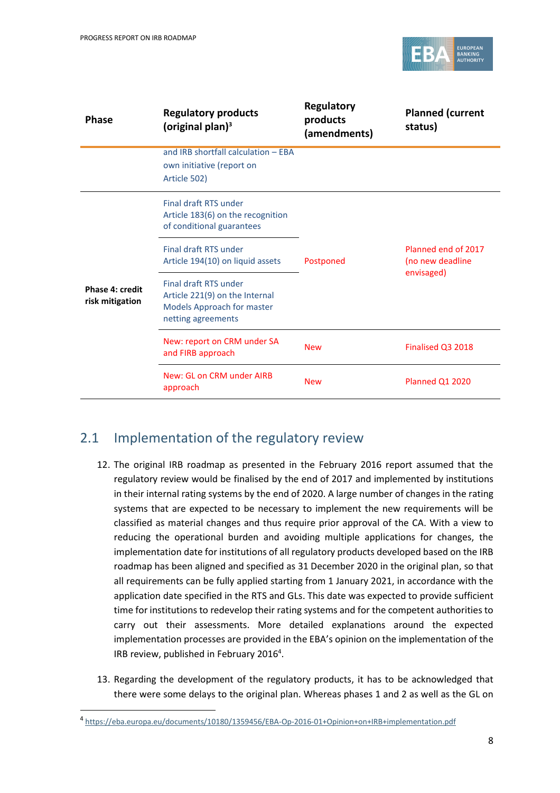

| <b>Phase</b>                       | <b>Regulatory products</b><br>(original plan) $3$                                                           | Regulatory<br>products<br>(amendments) | <b>Planned (current</b><br>status)                    |
|------------------------------------|-------------------------------------------------------------------------------------------------------------|----------------------------------------|-------------------------------------------------------|
|                                    | and IRB shortfall calculation - EBA<br>own initiative (report on<br>Article 502)                            |                                        |                                                       |
|                                    | Final draft RTS under<br>Article 183(6) on the recognition<br>of conditional guarantees                     |                                        | Planned end of 2017<br>(no new deadline<br>envisaged) |
|                                    | Final draft RTS under<br>Article 194(10) on liquid assets                                                   | Postponed                              |                                                       |
| Phase 4: credit<br>risk mitigation | Final draft RTS under<br>Article 221(9) on the Internal<br>Models Approach for master<br>netting agreements |                                        |                                                       |
|                                    | New: report on CRM under SA<br>and FIRB approach                                                            | <b>New</b>                             | Finalised Q3 2018                                     |
|                                    | New: GL on CRM under AIRB<br>approach                                                                       | <b>New</b>                             | <b>Planned Q1 2020</b>                                |

### 2.1 Implementation of the regulatory review

- 12. The original IRB roadmap as presented in the February 2016 report assumed that the regulatory review would be finalised by the end of 2017 and implemented by institutions in their internal rating systems by the end of 2020. A large number of changes in the rating systems that are expected to be necessary to implement the new requirements will be classified as material changes and thus require prior approval of the CA. With a view to reducing the operational burden and avoiding multiple applications for changes, the implementation date for institutions of all regulatory products developed based on the IRB roadmap has been aligned and specified as 31 December 2020 in the original plan, so that all requirements can be fully applied starting from 1 January 2021, in accordance with the application date specified in the RTS and GLs. This date was expected to provide sufficient time for institutions to redevelop their rating systems and for the competent authorities to carry out their assessments. More detailed explanations around the expected implementation processes are provided in the EBA's opinion on the implementation of the IRB review, published in February 2016<sup>4</sup>.
- 13. Regarding the development of the regulatory products, it has to be acknowledged that there were some delays to the original plan. Whereas phases 1 and 2 as well as the GL on

<sup>4</sup> <https://eba.europa.eu/documents/10180/1359456/EBA-Op-2016-01+Opinion+on+IRB+implementation.pdf>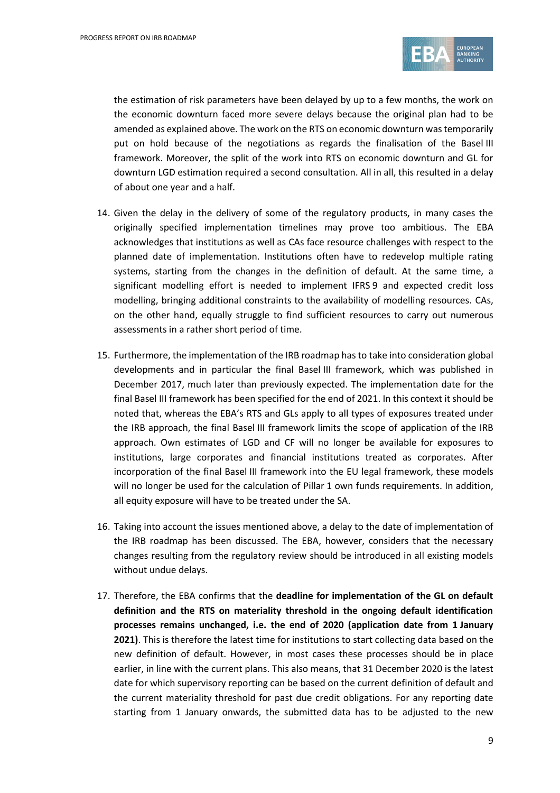

the estimation of risk parameters have been delayed by up to a few months, the work on the economic downturn faced more severe delays because the original plan had to be amended as explained above. The work on the RTS on economic downturn was temporarily put on hold because of the negotiations as regards the finalisation of the Basel III framework. Moreover, the split of the work into RTS on economic downturn and GL for downturn LGD estimation required a second consultation. All in all, this resulted in a delay of about one year and a half.

- 14. Given the delay in the delivery of some of the regulatory products, in many cases the originally specified implementation timelines may prove too ambitious. The EBA acknowledges that institutions as well as CAs face resource challenges with respect to the planned date of implementation. Institutions often have to redevelop multiple rating systems, starting from the changes in the definition of default. At the same time, a significant modelling effort is needed to implement IFRS 9 and expected credit loss modelling, bringing additional constraints to the availability of modelling resources. CAs, on the other hand, equally struggle to find sufficient resources to carry out numerous assessments in a rather short period of time.
- 15. Furthermore, the implementation of the IRB roadmap has to take into consideration global developments and in particular the final Basel III framework, which was published in December 2017, much later than previously expected. The implementation date for the final Basel III framework has been specified for the end of 2021. In this context it should be noted that, whereas the EBA's RTS and GLs apply to all types of exposures treated under the IRB approach, the final Basel III framework limits the scope of application of the IRB approach. Own estimates of LGD and CF will no longer be available for exposures to institutions, large corporates and financial institutions treated as corporates. After incorporation of the final Basel III framework into the EU legal framework, these models will no longer be used for the calculation of Pillar 1 own funds requirements. In addition, all equity exposure will have to be treated under the SA.
- 16. Taking into account the issues mentioned above, a delay to the date of implementation of the IRB roadmap has been discussed. The EBA, however, considers that the necessary changes resulting from the regulatory review should be introduced in all existing models without undue delays.
- 17. Therefore, the EBA confirms that the **deadline for implementation of the GL on default definition and the RTS on materiality threshold in the ongoing default identification processes remains unchanged, i.e. the end of 2020 (application date from 1 January 2021)**. This is therefore the latest time for institutions to start collecting data based on the new definition of default. However, in most cases these processes should be in place earlier, in line with the current plans. This also means, that 31 December 2020 is the latest date for which supervisory reporting can be based on the current definition of default and the current materiality threshold for past due credit obligations. For any reporting date starting from 1 January onwards, the submitted data has to be adjusted to the new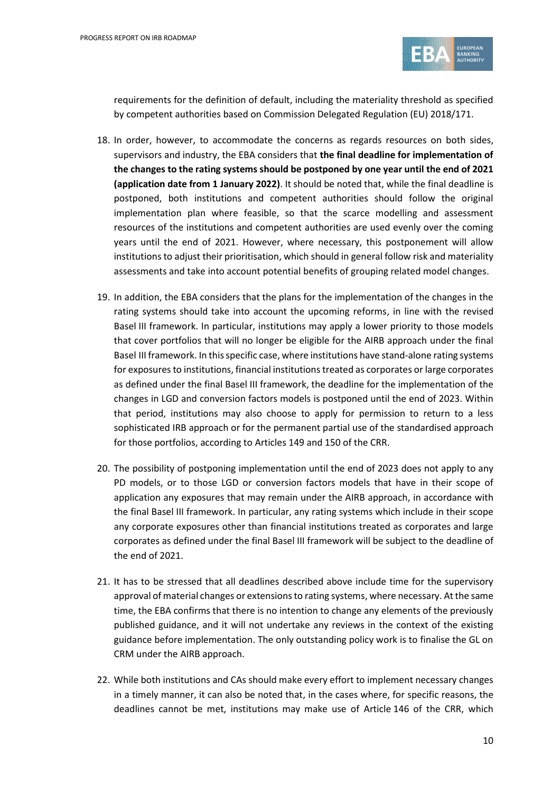

requirements for the definition of default, including the materiality threshold as specified by competent authorities based on Commission Delegated Regulation (EU) 2018/171.

- 18. In order, however, to accommodate the concerns as regards resources on both sides, supervisors and industry, the EBA considers that **the final deadline for implementation of the changes to the rating systems should be postponed by one year until the end of 2021 (application date from 1 January 2022)**. It should be noted that, while the final deadline is postponed, both institutions and competent authorities should follow the original implementation plan where feasible, so that the scarce modelling and assessment resources of the institutions and competent authorities are used evenly over the coming years until the end of 2021. However, where necessary, this postponement will allow institutions to adjust their prioritisation, which should in general follow risk and materiality assessments and take into account potential benefits of grouping related model changes.
- 19. In addition, the EBA considers that the plans for the implementation of the changes in the rating systems should take into account the upcoming reforms, in line with the revised Basel III framework. In particular, institutions may apply a lower priority to those models that cover portfolios that will no longer be eligible for the AIRB approach under the final Basel III framework. In this specific case, where institutions have stand-alone rating systems for exposures to institutions, financial institutions treated as corporates or large corporates as defined under the final Basel III framework, the deadline for the implementation of the changes in LGD and conversion factors models is postponed until the end of 2023. Within that period, institutions may also choose to apply for permission to return to a less sophisticated IRB approach or for the permanent partial use of the standardised approach for those portfolios, according to Articles 149 and 150 of the CRR.
- 20. The possibility of postponing implementation until the end of 2023 does not apply to any PD models, or to those LGD or conversion factors models that have in their scope of application any exposures that may remain under the AIRB approach, in accordance with the final Basel III framework. In particular, any rating systems which include in their scope any corporate exposures other than financial institutions treated as corporates and large corporates as defined under the final Basel III framework will be subject to the deadline of the end of 2021.
- 21. It has to be stressed that all deadlines described above include time for the supervisory approval of material changes or extensions to rating systems, where necessary. At the same time, the EBA confirms that there is no intention to change any elements of the previously published guidance, and it will not undertake any reviews in the context of the existing guidance before implementation. The only outstanding policy work is to finalise the GL on CRM under the AIRB approach.
- 22. While both institutions and CAs should make every effort to implement necessary changes in a timely manner, it can also be noted that, in the cases where, for specific reasons, the deadlines cannot be met, institutions may make use of Article 146 of the CRR, which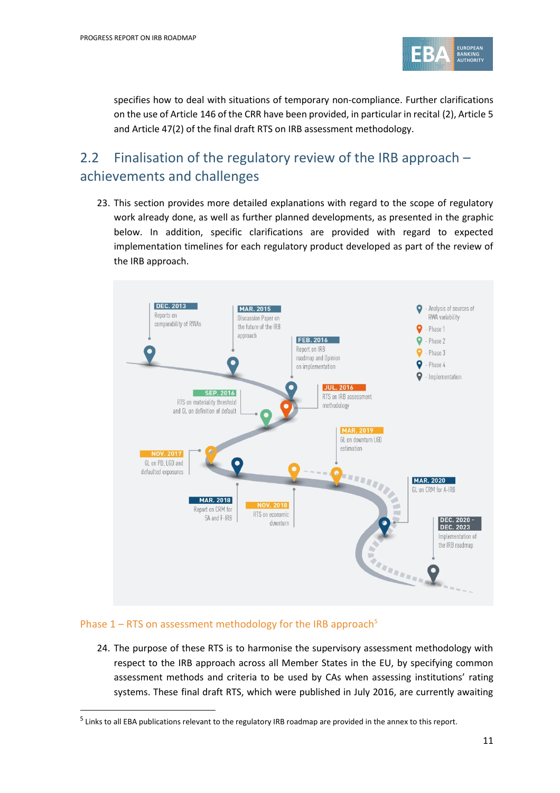

specifies how to deal with situations of temporary non-compliance. Further clarifications on the use of Article 146 of the CRR have been provided, in particular in recital (2), Article 5 and Article 47(2) of the final draft RTS on IRB assessment methodology.

### 2.2 Finalisation of the regulatory review of the IRB approach – achievements and challenges

23. This section provides more detailed explanations with regard to the scope of regulatory work already done, as well as further planned developments, as presented in the graphic below. In addition, specific clarifications are provided with regard to expected implementation timelines for each regulatory product developed as part of the review of the IRB approach.



#### Phase  $1 - RTS$  on assessment methodology for the IRB approach<sup>5</sup>

1

24. The purpose of these RTS is to harmonise the supervisory assessment methodology with respect to the IRB approach across all Member States in the EU, by specifying common assessment methods and criteria to be used by CAs when assessing institutions' rating systems. These final draft RTS, which were published in July 2016, are currently awaiting

<sup>&</sup>lt;sup>5</sup> Links to all EBA publications relevant to the regulatory IRB roadmap are provided in the annex to this report.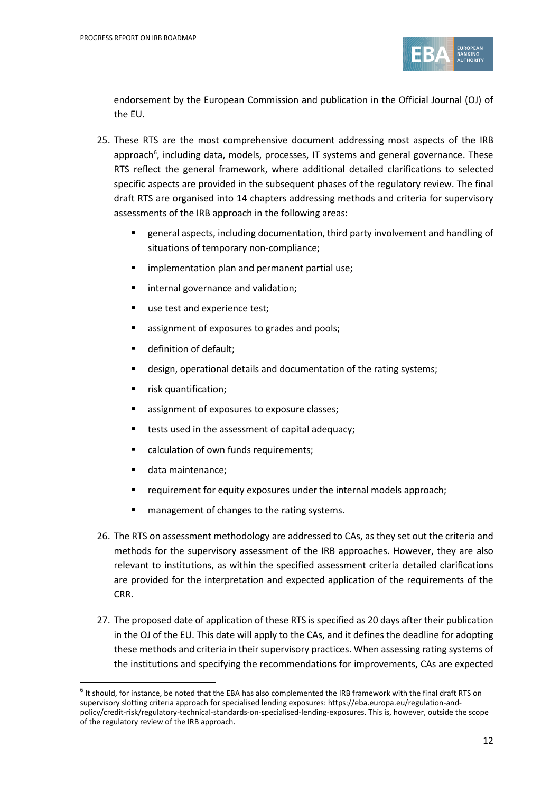

endorsement by the European Commission and publication in the Official Journal (OJ) of the EU.

- 25. These RTS are the most comprehensive document addressing most aspects of the IRB approach<sup>6</sup>, including data, models, processes, IT systems and general governance. These RTS reflect the general framework, where additional detailed clarifications to selected specific aspects are provided in the subsequent phases of the regulatory review. The final draft RTS are organised into 14 chapters addressing methods and criteria for supervisory assessments of the IRB approach in the following areas:
	- general aspects, including documentation, third party involvement and handling of situations of temporary non-compliance;
	- **F** implementation plan and permanent partial use;
	- **I** internal governance and validation;
	- use test and experience test;
	- **EXP** assignment of exposures to grades and pools;
	- **definition of default;**
	- design, operational details and documentation of the rating systems;
	- **F** risk quantification;
	- **EXP** assignment of exposures to exposure classes;
	- **tests used in the assessment of capital adequacy;**
	- calculation of own funds requirements;
	- data maintenance:

- **F** requirement for equity exposures under the internal models approach;
- **nanagement of changes to the rating systems.**
- 26. The RTS on assessment methodology are addressed to CAs, as they set out the criteria and methods for the supervisory assessment of the IRB approaches. However, they are also relevant to institutions, as within the specified assessment criteria detailed clarifications are provided for the interpretation and expected application of the requirements of the CRR.
- 27. The proposed date of application of these RTS is specified as 20 days after their publication in the OJ of the EU. This date will apply to the CAs, and it defines the deadline for adopting these methods and criteria in their supervisory practices. When assessing rating systems of the institutions and specifying the recommendations for improvements, CAs are expected

 $^6$  It should, for instance, be noted that the EBA has also complemented the IRB framework with the final draft RTS on supervisory slotting criteria approach for specialised lending exposures: https://eba.europa.eu/regulation-andpolicy/credit-risk/regulatory-technical-standards-on-specialised-lending-exposures. This is, however, outside the scope of the regulatory review of the IRB approach.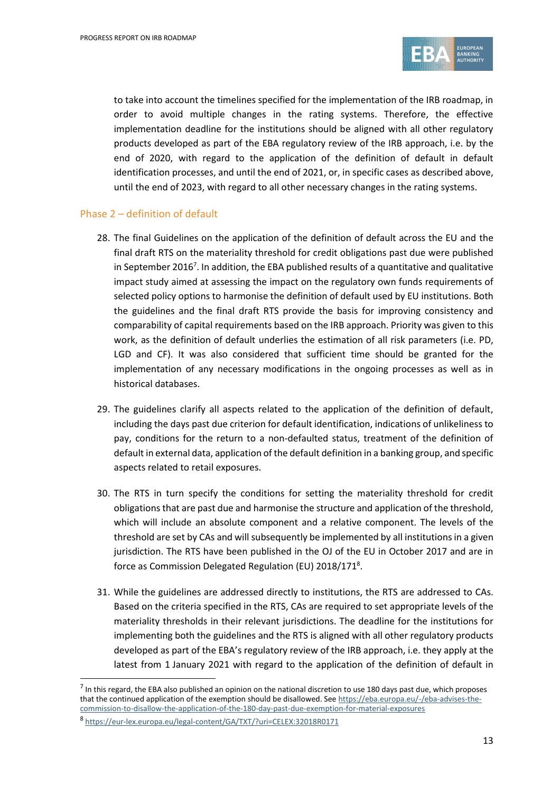

to take into account the timelines specified for the implementation of the IRB roadmap, in order to avoid multiple changes in the rating systems. Therefore, the effective implementation deadline for the institutions should be aligned with all other regulatory products developed as part of the EBA regulatory review of the IRB approach, i.e. by the end of 2020, with regard to the application of the definition of default in default identification processes, and until the end of 2021, or, in specific cases as described above, until the end of 2023, with regard to all other necessary changes in the rating systems.

#### Phase 2 – definition of default

- 28. The final Guidelines on the application of the definition of default across the EU and the final draft RTS on the materiality threshold for credit obligations past due were published in September 2016<sup>7</sup>. In addition, the EBA published results of a quantitative and qualitative impact study aimed at assessing the impact on the regulatory own funds requirements of selected policy options to harmonise the definition of default used by EU institutions. Both the guidelines and the final draft RTS provide the basis for improving consistency and comparability of capital requirements based on the IRB approach. Priority was given to this work, as the definition of default underlies the estimation of all risk parameters (i.e. PD, LGD and CF). It was also considered that sufficient time should be granted for the implementation of any necessary modifications in the ongoing processes as well as in historical databases.
- 29. The guidelines clarify all aspects related to the application of the definition of default, including the days past due criterion for default identification, indications of unlikeliness to pay, conditions for the return to a non-defaulted status, treatment of the definition of default in external data, application of the default definition in a banking group, and specific aspects related to retail exposures.
- 30. The RTS in turn specify the conditions for setting the materiality threshold for credit obligations that are past due and harmonise the structure and application of the threshold, which will include an absolute component and a relative component. The levels of the threshold are set by CAs and will subsequently be implemented by all institutions in a given jurisdiction. The RTS have been published in the OJ of the EU in October 2017 and are in force as Commission Delegated Regulation (EU) 2018/171<sup>8</sup>.
- 31. While the guidelines are addressed directly to institutions, the RTS are addressed to CAs. Based on the criteria specified in the RTS, CAs are required to set appropriate levels of the materiality thresholds in their relevant jurisdictions. The deadline for the institutions for implementing both the guidelines and the RTS is aligned with all other regulatory products developed as part of the EBA's regulatory review of the IRB approach, i.e. they apply at the latest from 1 January 2021 with regard to the application of the definition of default in

 $<sup>7</sup>$  In this regard, the EBA also published an opinion on the national discretion to use 180 days past due, which proposes</sup> that the continued application of the exemption should be disallowed. Se[e https://eba.europa.eu/-/eba-advises-the](https://eba.europa.eu/-/eba-advises-the-commission-to-disallow-the-application-of-the-180-day-past-due-exemption-for-material-exposures)[commission-to-disallow-the-application-of-the-180-day-past-due-exemption-for-material-exposures](https://eba.europa.eu/-/eba-advises-the-commission-to-disallow-the-application-of-the-180-day-past-due-exemption-for-material-exposures)

<sup>8</sup> <https://eur-lex.europa.eu/legal-content/GA/TXT/?uri=CELEX:32018R0171>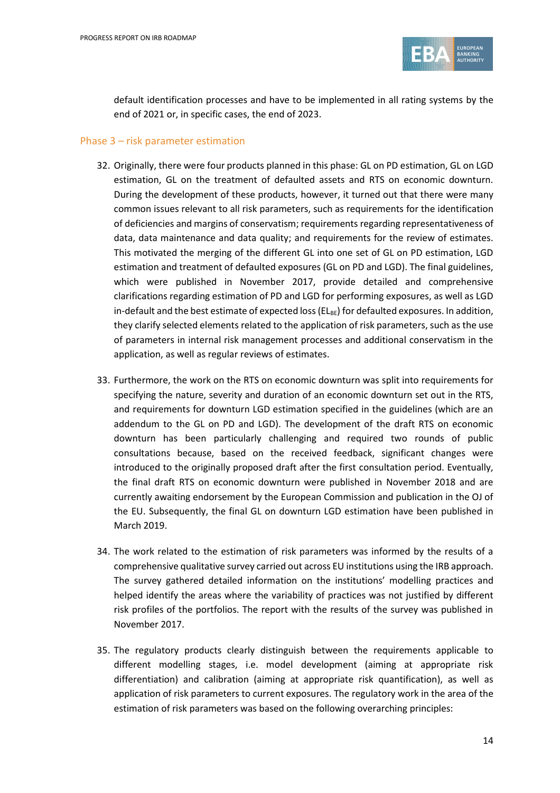

default identification processes and have to be implemented in all rating systems by the end of 2021 or, in specific cases, the end of 2023.

#### Phase 3 – risk parameter estimation

- 32. Originally, there were four products planned in this phase: GL on PD estimation, GL on LGD estimation, GL on the treatment of defaulted assets and RTS on economic downturn. During the development of these products, however, it turned out that there were many common issues relevant to all risk parameters, such as requirements for the identification of deficiencies and margins of conservatism; requirements regarding representativeness of data, data maintenance and data quality; and requirements for the review of estimates. This motivated the merging of the different GL into one set of GL on PD estimation, LGD estimation and treatment of defaulted exposures (GL on PD and LGD). The final guidelines, which were published in November 2017, provide detailed and comprehensive clarifications regarding estimation of PD and LGD for performing exposures, as well as LGD in-default and the best estimate of expected loss ( $EL_{BE}$ ) for defaulted exposures. In addition, they clarify selected elements related to the application of risk parameters, such as the use of parameters in internal risk management processes and additional conservatism in the application, as well as regular reviews of estimates.
- 33. Furthermore, the work on the RTS on economic downturn was split into requirements for specifying the nature, severity and duration of an economic downturn set out in the RTS, and requirements for downturn LGD estimation specified in the guidelines (which are an addendum to the GL on PD and LGD). The development of the draft RTS on economic downturn has been particularly challenging and required two rounds of public consultations because, based on the received feedback, significant changes were introduced to the originally proposed draft after the first consultation period. Eventually, the final draft RTS on economic downturn were published in November 2018 and are currently awaiting endorsement by the European Commission and publication in the OJ of the EU. Subsequently, the final GL on downturn LGD estimation have been published in March 2019.
- 34. The work related to the estimation of risk parameters was informed by the results of a comprehensive qualitative survey carried out across EU institutions using the IRB approach. The survey gathered detailed information on the institutions' modelling practices and helped identify the areas where the variability of practices was not justified by different risk profiles of the portfolios. The report with the results of the survey was published in November 2017.
- 35. The regulatory products clearly distinguish between the requirements applicable to different modelling stages, i.e. model development (aiming at appropriate risk differentiation) and calibration (aiming at appropriate risk quantification), as well as application of risk parameters to current exposures. The regulatory work in the area of the estimation of risk parameters was based on the following overarching principles: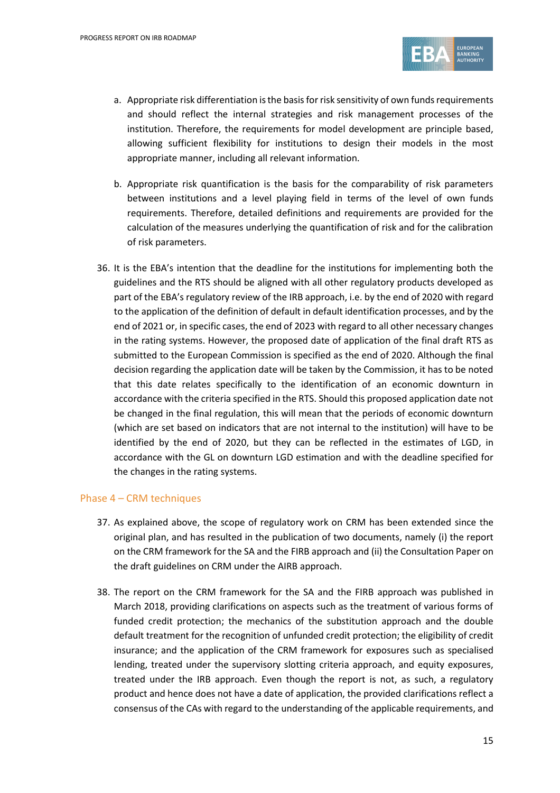

- a. Appropriate risk differentiation is the basis for risk sensitivity of own funds requirements and should reflect the internal strategies and risk management processes of the institution. Therefore, the requirements for model development are principle based, allowing sufficient flexibility for institutions to design their models in the most appropriate manner, including all relevant information.
- b. Appropriate risk quantification is the basis for the comparability of risk parameters between institutions and a level playing field in terms of the level of own funds requirements. Therefore, detailed definitions and requirements are provided for the calculation of the measures underlying the quantification of risk and for the calibration of risk parameters.
- 36. It is the EBA's intention that the deadline for the institutions for implementing both the guidelines and the RTS should be aligned with all other regulatory products developed as part of the EBA's regulatory review of the IRB approach, i.e. by the end of 2020 with regard to the application of the definition of default in default identification processes, and by the end of 2021 or, in specific cases, the end of 2023 with regard to all other necessary changes in the rating systems. However, the proposed date of application of the final draft RTS as submitted to the European Commission is specified as the end of 2020. Although the final decision regarding the application date will be taken by the Commission, it has to be noted that this date relates specifically to the identification of an economic downturn in accordance with the criteria specified in the RTS. Should this proposed application date not be changed in the final regulation, this will mean that the periods of economic downturn (which are set based on indicators that are not internal to the institution) will have to be identified by the end of 2020, but they can be reflected in the estimates of LGD, in accordance with the GL on downturn LGD estimation and with the deadline specified for the changes in the rating systems.

#### Phase 4 – CRM techniques

- 37. As explained above, the scope of regulatory work on CRM has been extended since the original plan, and has resulted in the publication of two documents, namely (i) the report on the CRM framework for the SA and the FIRB approach and (ii) the Consultation Paper on the draft guidelines on CRM under the AIRB approach.
- 38. The report on the CRM framework for the SA and the FIRB approach was published in March 2018, providing clarifications on aspects such as the treatment of various forms of funded credit protection; the mechanics of the substitution approach and the double default treatment for the recognition of unfunded credit protection; the eligibility of credit insurance; and the application of the CRM framework for exposures such as specialised lending, treated under the supervisory slotting criteria approach, and equity exposures, treated under the IRB approach. Even though the report is not, as such, a regulatory product and hence does not have a date of application, the provided clarifications reflect a consensus of the CAs with regard to the understanding of the applicable requirements, and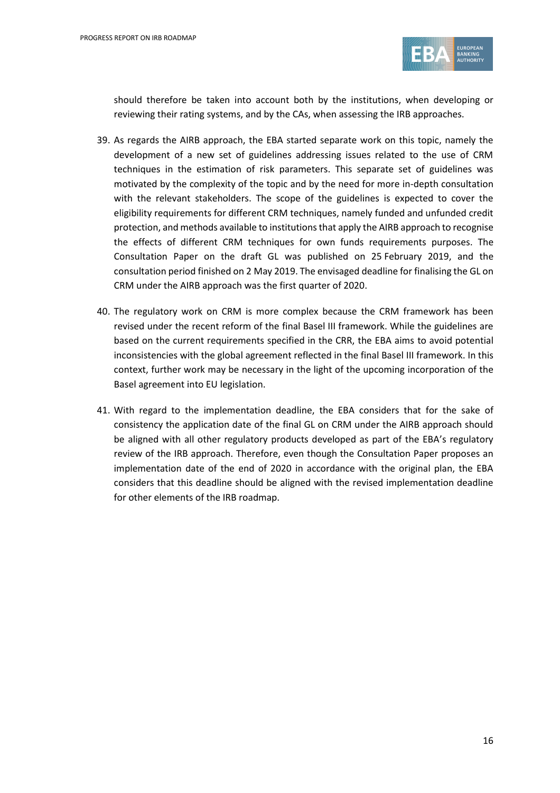

should therefore be taken into account both by the institutions, when developing or reviewing their rating systems, and by the CAs, when assessing the IRB approaches.

- 39. As regards the AIRB approach, the EBA started separate work on this topic, namely the development of a new set of guidelines addressing issues related to the use of CRM techniques in the estimation of risk parameters. This separate set of guidelines was motivated by the complexity of the topic and by the need for more in-depth consultation with the relevant stakeholders. The scope of the guidelines is expected to cover the eligibility requirements for different CRM techniques, namely funded and unfunded credit protection, and methods available to institutions that apply the AIRB approach to recognise the effects of different CRM techniques for own funds requirements purposes. The Consultation Paper on the draft GL was published on 25 February 2019, and the consultation period finished on 2 May 2019. The envisaged deadline for finalising the GL on CRM under the AIRB approach was the first quarter of 2020.
- 40. The regulatory work on CRM is more complex because the CRM framework has been revised under the recent reform of the final Basel III framework. While the guidelines are based on the current requirements specified in the CRR, the EBA aims to avoid potential inconsistencies with the global agreement reflected in the final Basel III framework. In this context, further work may be necessary in the light of the upcoming incorporation of the Basel agreement into EU legislation.
- 41. With regard to the implementation deadline, the EBA considers that for the sake of consistency the application date of the final GL on CRM under the AIRB approach should be aligned with all other regulatory products developed as part of the EBA's regulatory review of the IRB approach. Therefore, even though the Consultation Paper proposes an implementation date of the end of 2020 in accordance with the original plan, the EBA considers that this deadline should be aligned with the revised implementation deadline for other elements of the IRB roadmap.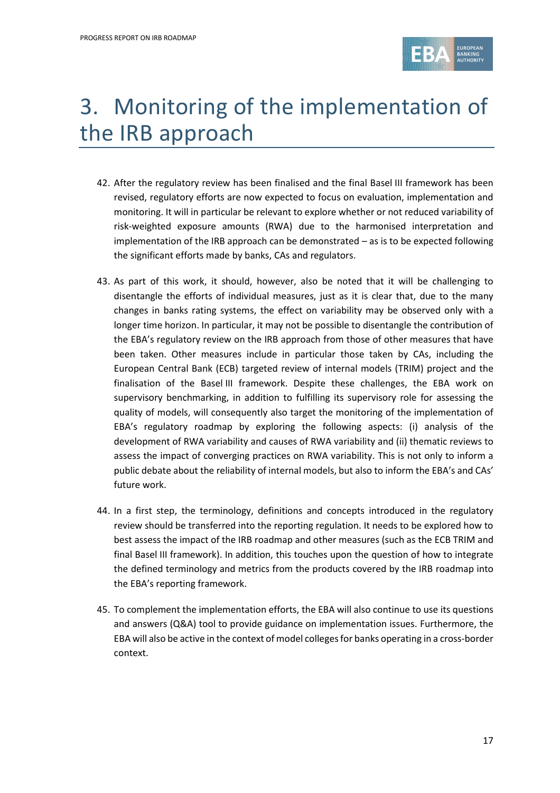

# 3. Monitoring of the implementation of the IRB approach

- 42. After the regulatory review has been finalised and the final Basel III framework has been revised, regulatory efforts are now expected to focus on evaluation, implementation and monitoring. It will in particular be relevant to explore whether or not reduced variability of risk-weighted exposure amounts (RWA) due to the harmonised interpretation and implementation of the IRB approach can be demonstrated – as is to be expected following the significant efforts made by banks, CAs and regulators.
- 43. As part of this work, it should, however, also be noted that it will be challenging to disentangle the efforts of individual measures, just as it is clear that, due to the many changes in banks rating systems, the effect on variability may be observed only with a longer time horizon. In particular, it may not be possible to disentangle the contribution of the EBA's regulatory review on the IRB approach from those of other measures that have been taken. Other measures include in particular those taken by CAs, including the European Central Bank (ECB) targeted review of internal models (TRIM) project and the finalisation of the Basel III framework. Despite these challenges, the EBA work on supervisory benchmarking, in addition to fulfilling its supervisory role for assessing the quality of models, will consequently also target the monitoring of the implementation of EBA's regulatory roadmap by exploring the following aspects: (i) analysis of the development of RWA variability and causes of RWA variability and (ii) thematic reviews to assess the impact of converging practices on RWA variability. This is not only to inform a public debate about the reliability of internal models, but also to inform the EBA's and CAs' future work.
- 44. In a first step, the terminology, definitions and concepts introduced in the regulatory review should be transferred into the reporting regulation. It needs to be explored how to best assess the impact of the IRB roadmap and other measures (such as the ECB TRIM and final Basel III framework). In addition, this touches upon the question of how to integrate the defined terminology and metrics from the products covered by the IRB roadmap into the EBA's reporting framework.
- 45. To complement the implementation efforts, the EBA will also continue to use its questions and answers (Q&A) tool to provide guidance on implementation issues. Furthermore, the EBA will also be active in the context of model colleges for banks operating in a cross-border context.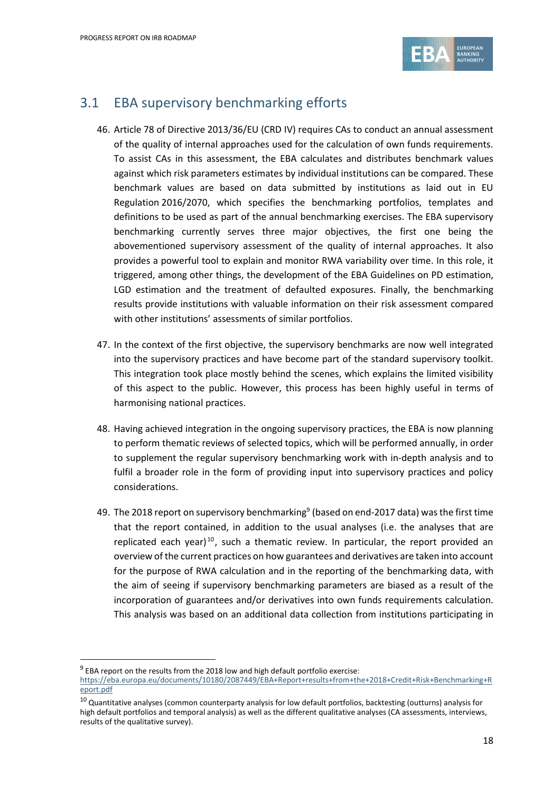

#### 3.1 EBA supervisory benchmarking efforts

- 46. Article 78 of Directive 2013/36/EU (CRD IV) requires CAs to conduct an annual assessment of the quality of internal approaches used for the calculation of own funds requirements. To assist CAs in this assessment, the EBA calculates and distributes benchmark values against which risk parameters estimates by individual institutions can be compared. These benchmark values are based on data submitted by institutions as laid out in EU Regulation 2016/2070, which specifies the benchmarking portfolios, templates and definitions to be used as part of the annual benchmarking exercises. The EBA supervisory benchmarking currently serves three major objectives, the first one being the abovementioned supervisory assessment of the quality of internal approaches. It also provides a powerful tool to explain and monitor RWA variability over time. In this role, it triggered, among other things, the development of the EBA Guidelines on PD estimation, LGD estimation and the treatment of defaulted exposures. Finally, the benchmarking results provide institutions with valuable information on their risk assessment compared with other institutions' assessments of similar portfolios.
- 47. In the context of the first objective, the supervisory benchmarks are now well integrated into the supervisory practices and have become part of the standard supervisory toolkit. This integration took place mostly behind the scenes, which explains the limited visibility of this aspect to the public. However, this process has been highly useful in terms of harmonising national practices.
- 48. Having achieved integration in the ongoing supervisory practices, the EBA is now planning to perform thematic reviews of selected topics, which will be performed annually, in order to supplement the regular supervisory benchmarking work with in-depth analysis and to fulfil a broader role in the form of providing input into supervisory practices and policy considerations.
- 49. The 2018 report on supervisory benchmarking<sup>9</sup> (based on end-2017 data) was the first time that the report contained, in addition to the usual analyses (i.e. the analyses that are replicated each year)<sup>10</sup>, such a thematic review. In particular, the report provided an overview of the current practices on how guarantees and derivatives are taken into account for the purpose of RWA calculation and in the reporting of the benchmarking data, with the aim of seeing if supervisory benchmarking parameters are biased as a result of the incorporation of guarantees and/or derivatives into own funds requirements calculation. This analysis was based on an additional data collection from institutions participating in

 $9$  EBA report on the results from the 2018 low and high default portfolio exercise:

1

[https://eba.europa.eu/documents/10180/2087449/EBA+Report+results+from+the+2018+Credit+Risk+Benchmarking+R](https://eba.europa.eu/documents/10180/2087449/EBA+Report+results+from+the+2018+Credit+Risk+Benchmarking+Report.pdf) [eport.pdf](https://eba.europa.eu/documents/10180/2087449/EBA+Report+results+from+the+2018+Credit+Risk+Benchmarking+Report.pdf)

 $^{10}$  Quantitative analyses (common counterparty analysis for low default portfolios, backtesting (outturns) analysis for high default portfolios and temporal analysis) as well as the different qualitative analyses (CA assessments, interviews, results of the qualitative survey).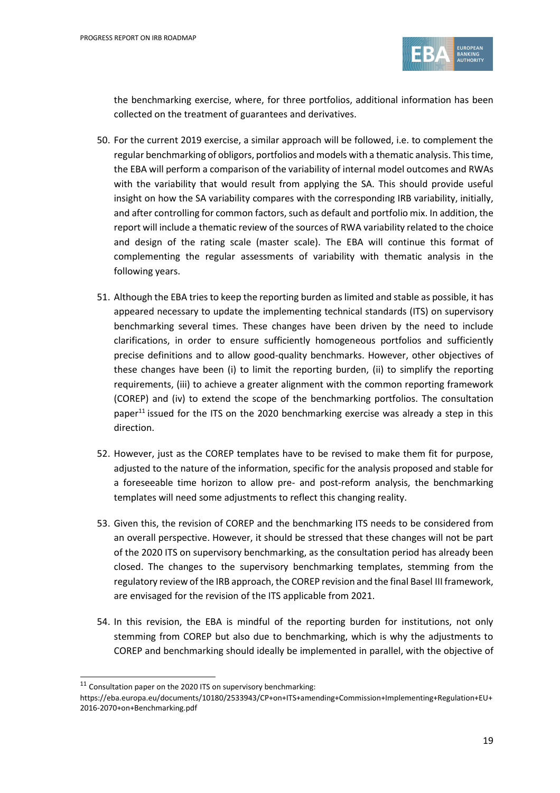

the benchmarking exercise, where, for three portfolios, additional information has been collected on the treatment of guarantees and derivatives.

- 50. For the current 2019 exercise, a similar approach will be followed, i.e. to complement the regular benchmarking of obligors, portfolios and models with a thematic analysis. This time, the EBA will perform a comparison of the variability of internal model outcomes and RWAs with the variability that would result from applying the SA. This should provide useful insight on how the SA variability compares with the corresponding IRB variability, initially, and after controlling for common factors, such as default and portfolio mix. In addition, the report will include a thematic review of the sources of RWA variability related to the choice and design of the rating scale (master scale). The EBA will continue this format of complementing the regular assessments of variability with thematic analysis in the following years.
- 51. Although the EBA tries to keep the reporting burden as limited and stable as possible, it has appeared necessary to update the implementing technical standards (ITS) on supervisory benchmarking several times. These changes have been driven by the need to include clarifications, in order to ensure sufficiently homogeneous portfolios and sufficiently precise definitions and to allow good-quality benchmarks. However, other objectives of these changes have been (i) to limit the reporting burden, (ii) to simplify the reporting requirements, (iii) to achieve a greater alignment with the common reporting framework (COREP) and (iv) to extend the scope of the benchmarking portfolios. The consultation paper<sup>11</sup> issued for the ITS on the 2020 benchmarking exercise was already a step in this direction.
- 52. However, just as the COREP templates have to be revised to make them fit for purpose, adjusted to the nature of the information, specific for the analysis proposed and stable for a foreseeable time horizon to allow pre- and post-reform analysis, the benchmarking templates will need some adjustments to reflect this changing reality.
- 53. Given this, the revision of COREP and the benchmarking ITS needs to be considered from an overall perspective. However, it should be stressed that these changes will not be part of the 2020 ITS on supervisory benchmarking, as the consultation period has already been closed. The changes to the supervisory benchmarking templates, stemming from the regulatory review of the IRB approach, the COREP revision and the final Basel III framework, are envisaged for the revision of the ITS applicable from 2021.
- 54. In this revision, the EBA is mindful of the reporting burden for institutions, not only stemming from COREP but also due to benchmarking, which is why the adjustments to COREP and benchmarking should ideally be implemented in parallel, with the objective of

 $11$  Consultation paper on the 2020 ITS on supervisory benchmarking:

[https://eba.europa.eu/documents/10180/2533943/CP+on+ITS+amending+Commission+Implementing+Regulation+EU+](https://eba.europa.eu/documents/10180/2533943/CP+on+ITS+amending+Commission+Implementing+Regulation+EU+2016-2070+on+Benchmarking.pdf) [2016-2070+on+Benchmarking.pdf](https://eba.europa.eu/documents/10180/2533943/CP+on+ITS+amending+Commission+Implementing+Regulation+EU+2016-2070+on+Benchmarking.pdf)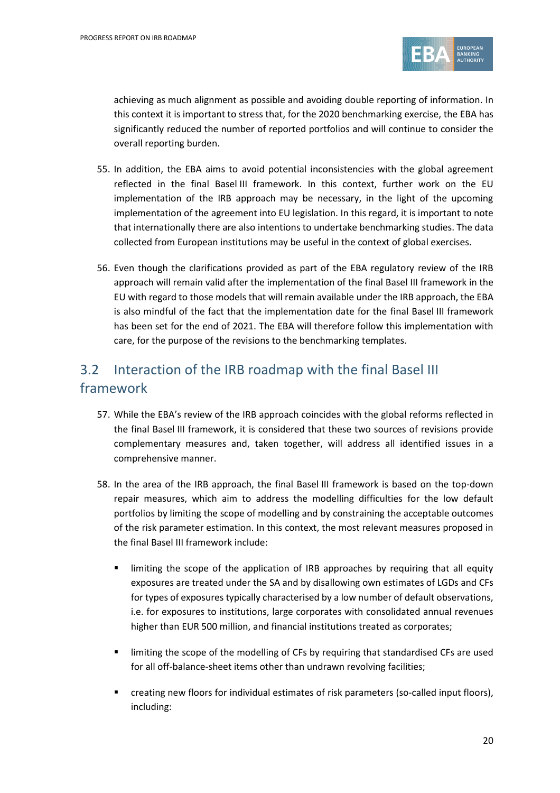

achieving as much alignment as possible and avoiding double reporting of information. In this context it is important to stress that, for the 2020 benchmarking exercise, the EBA has significantly reduced the number of reported portfolios and will continue to consider the overall reporting burden.

- 55. In addition, the EBA aims to avoid potential inconsistencies with the global agreement reflected in the final Basel III framework. In this context, further work on the EU implementation of the IRB approach may be necessary, in the light of the upcoming implementation of the agreement into EU legislation. In this regard, it is important to note that internationally there are also intentions to undertake benchmarking studies. The data collected from European institutions may be useful in the context of global exercises.
- 56. Even though the clarifications provided as part of the EBA regulatory review of the IRB approach will remain valid after the implementation of the final Basel III framework in the EU with regard to those models that will remain available under the IRB approach, the EBA is also mindful of the fact that the implementation date for the final Basel III framework has been set for the end of 2021. The EBA will therefore follow this implementation with care, for the purpose of the revisions to the benchmarking templates.

### 3.2 Interaction of the IRB roadmap with the final Basel III framework

- 57. While the EBA's review of the IRB approach coincides with the global reforms reflected in the final Basel III framework, it is considered that these two sources of revisions provide complementary measures and, taken together, will address all identified issues in a comprehensive manner.
- 58. In the area of the IRB approach, the final Basel III framework is based on the top-down repair measures, which aim to address the modelling difficulties for the low default portfolios by limiting the scope of modelling and by constraining the acceptable outcomes of the risk parameter estimation. In this context, the most relevant measures proposed in the final Basel III framework include:
	- limiting the scope of the application of IRB approaches by requiring that all equity exposures are treated under the SA and by disallowing own estimates of LGDs and CFs for types of exposures typically characterised by a low number of default observations, i.e. for exposures to institutions, large corporates with consolidated annual revenues higher than EUR 500 million, and financial institutions treated as corporates;
	- **EXECT** limiting the scope of the modelling of CFs by requiring that standardised CFs are used for all off-balance-sheet items other than undrawn revolving facilities;
	- creating new floors for individual estimates of risk parameters (so-called input floors), including: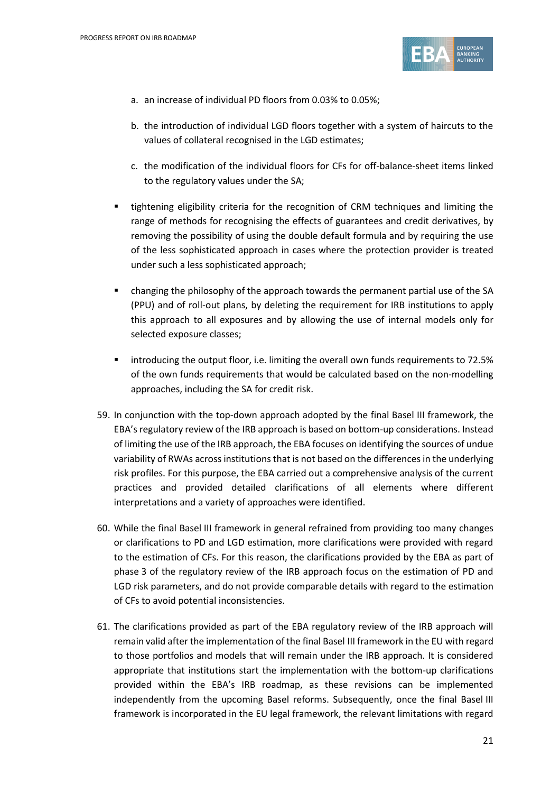

- a. an increase of individual PD floors from 0.03% to 0.05%;
- b. the introduction of individual LGD floors together with a system of haircuts to the values of collateral recognised in the LGD estimates;
- c. the modification of the individual floors for CFs for off-balance-sheet items linked to the regulatory values under the SA;
- tightening eligibility criteria for the recognition of CRM techniques and limiting the range of methods for recognising the effects of guarantees and credit derivatives, by removing the possibility of using the double default formula and by requiring the use of the less sophisticated approach in cases where the protection provider is treated under such a less sophisticated approach;
- changing the philosophy of the approach towards the permanent partial use of the SA (PPU) and of roll-out plans, by deleting the requirement for IRB institutions to apply this approach to all exposures and by allowing the use of internal models only for selected exposure classes;
- introducing the output floor, i.e. limiting the overall own funds requirements to 72.5% of the own funds requirements that would be calculated based on the non-modelling approaches, including the SA for credit risk.
- 59. In conjunction with the top-down approach adopted by the final Basel III framework, the EBA's regulatory review of the IRB approach is based on bottom-up considerations. Instead of limiting the use of the IRB approach, the EBA focuses on identifying the sources of undue variability of RWAs across institutions that is not based on the differences in the underlying risk profiles. For this purpose, the EBA carried out a comprehensive analysis of the current practices and provided detailed clarifications of all elements where different interpretations and a variety of approaches were identified.
- 60. While the final Basel III framework in general refrained from providing too many changes or clarifications to PD and LGD estimation, more clarifications were provided with regard to the estimation of CFs. For this reason, the clarifications provided by the EBA as part of phase 3 of the regulatory review of the IRB approach focus on the estimation of PD and LGD risk parameters, and do not provide comparable details with regard to the estimation of CFs to avoid potential inconsistencies.
- 61. The clarifications provided as part of the EBA regulatory review of the IRB approach will remain valid after the implementation of the final Basel III framework in the EU with regard to those portfolios and models that will remain under the IRB approach. It is considered appropriate that institutions start the implementation with the bottom-up clarifications provided within the EBA's IRB roadmap, as these revisions can be implemented independently from the upcoming Basel reforms. Subsequently, once the final Basel III framework is incorporated in the EU legal framework, the relevant limitations with regard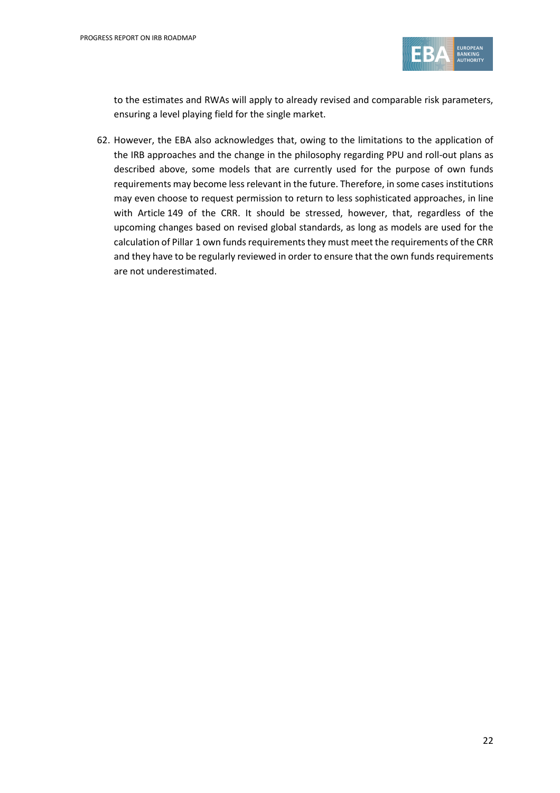

to the estimates and RWAs will apply to already revised and comparable risk parameters, ensuring a level playing field for the single market.

62. However, the EBA also acknowledges that, owing to the limitations to the application of the IRB approaches and the change in the philosophy regarding PPU and roll-out plans as described above, some models that are currently used for the purpose of own funds requirements may become less relevant in the future. Therefore, in some cases institutions may even choose to request permission to return to less sophisticated approaches, in line with Article 149 of the CRR. It should be stressed, however, that, regardless of the upcoming changes based on revised global standards, as long as models are used for the calculation of Pillar 1 own funds requirements they must meet the requirements of the CRR and they have to be regularly reviewed in order to ensure that the own funds requirements are not underestimated.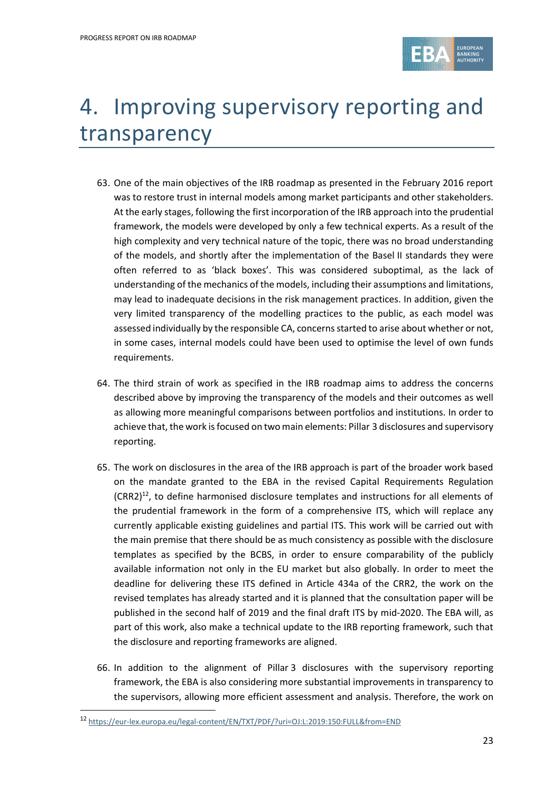

# 4. Improving supervisory reporting and transparency

- 63. One of the main objectives of the IRB roadmap as presented in the February 2016 report was to restore trust in internal models among market participants and other stakeholders. At the early stages, following the first incorporation of the IRB approach into the prudential framework, the models were developed by only a few technical experts. As a result of the high complexity and very technical nature of the topic, there was no broad understanding of the models, and shortly after the implementation of the Basel II standards they were often referred to as 'black boxes'. This was considered suboptimal, as the lack of understanding of the mechanics of the models, including their assumptions and limitations, may lead to inadequate decisions in the risk management practices. In addition, given the very limited transparency of the modelling practices to the public, as each model was assessed individually by the responsible CA, concerns started to arise about whether or not, in some cases, internal models could have been used to optimise the level of own funds requirements.
- 64. The third strain of work as specified in the IRB roadmap aims to address the concerns described above by improving the transparency of the models and their outcomes as well as allowing more meaningful comparisons between portfolios and institutions. In order to achieve that, the work is focused on two main elements: Pillar 3 disclosures and supervisory reporting.
- 65. The work on disclosures in the area of the IRB approach is part of the broader work based on the mandate granted to the EBA in the revised Capital Requirements Regulation (CRR2)<sup>12</sup>, to define harmonised disclosure templates and instructions for all elements of the prudential framework in the form of a comprehensive ITS, which will replace any currently applicable existing guidelines and partial ITS. This work will be carried out with the main premise that there should be as much consistency as possible with the disclosure templates as specified by the BCBS, in order to ensure comparability of the publicly available information not only in the EU market but also globally. In order to meet the deadline for delivering these ITS defined in Article 434a of the CRR2, the work on the revised templates has already started and it is planned that the consultation paper will be published in the second half of 2019 and the final draft ITS by mid-2020. The EBA will, as part of this work, also make a technical update to the IRB reporting framework, such that the disclosure and reporting frameworks are aligned.
- 66. In addition to the alignment of Pillar 3 disclosures with the supervisory reporting framework, the EBA is also considering more substantial improvements in transparency to the supervisors, allowing more efficient assessment and analysis. Therefore, the work on

<sup>12</sup> <https://eur-lex.europa.eu/legal-content/EN/TXT/PDF/?uri=OJ:L:2019:150:FULL&from=END>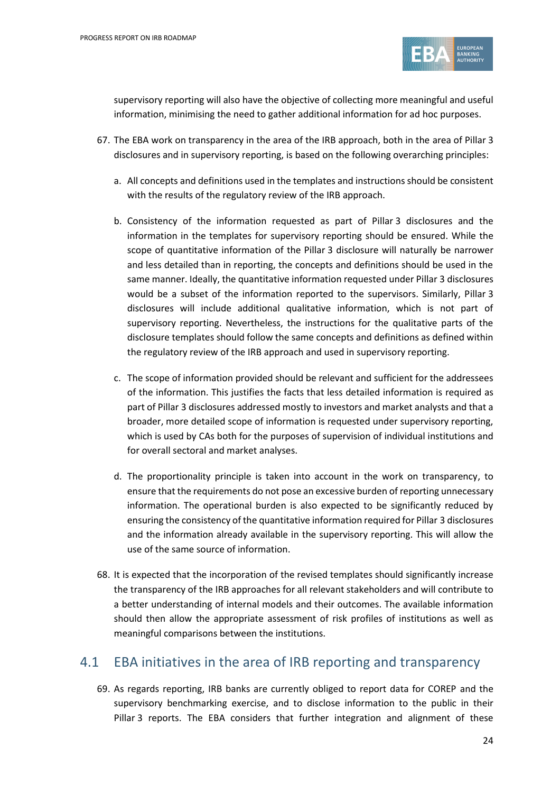

supervisory reporting will also have the objective of collecting more meaningful and useful information, minimising the need to gather additional information for ad hoc purposes.

- 67. The EBA work on transparency in the area of the IRB approach, both in the area of Pillar 3 disclosures and in supervisory reporting, is based on the following overarching principles:
	- a. All concepts and definitions used in the templates and instructions should be consistent with the results of the regulatory review of the IRB approach.
	- b. Consistency of the information requested as part of Pillar 3 disclosures and the information in the templates for supervisory reporting should be ensured. While the scope of quantitative information of the Pillar 3 disclosure will naturally be narrower and less detailed than in reporting, the concepts and definitions should be used in the same manner. Ideally, the quantitative information requested under Pillar 3 disclosures would be a subset of the information reported to the supervisors. Similarly, Pillar 3 disclosures will include additional qualitative information, which is not part of supervisory reporting. Nevertheless, the instructions for the qualitative parts of the disclosure templates should follow the same concepts and definitions as defined within the regulatory review of the IRB approach and used in supervisory reporting.
	- c. The scope of information provided should be relevant and sufficient for the addressees of the information. This justifies the facts that less detailed information is required as part of Pillar 3 disclosures addressed mostly to investors and market analysts and that a broader, more detailed scope of information is requested under supervisory reporting, which is used by CAs both for the purposes of supervision of individual institutions and for overall sectoral and market analyses.
	- d. The proportionality principle is taken into account in the work on transparency, to ensure that the requirements do not pose an excessive burden of reporting unnecessary information. The operational burden is also expected to be significantly reduced by ensuring the consistency of the quantitative information required for Pillar 3 disclosures and the information already available in the supervisory reporting. This will allow the use of the same source of information.
- 68. It is expected that the incorporation of the revised templates should significantly increase the transparency of the IRB approaches for all relevant stakeholders and will contribute to a better understanding of internal models and their outcomes. The available information should then allow the appropriate assessment of risk profiles of institutions as well as meaningful comparisons between the institutions.

#### 4.1 EBA initiatives in the area of IRB reporting and transparency

69. As regards reporting, IRB banks are currently obliged to report data for COREP and the supervisory benchmarking exercise, and to disclose information to the public in their Pillar 3 reports. The EBA considers that further integration and alignment of these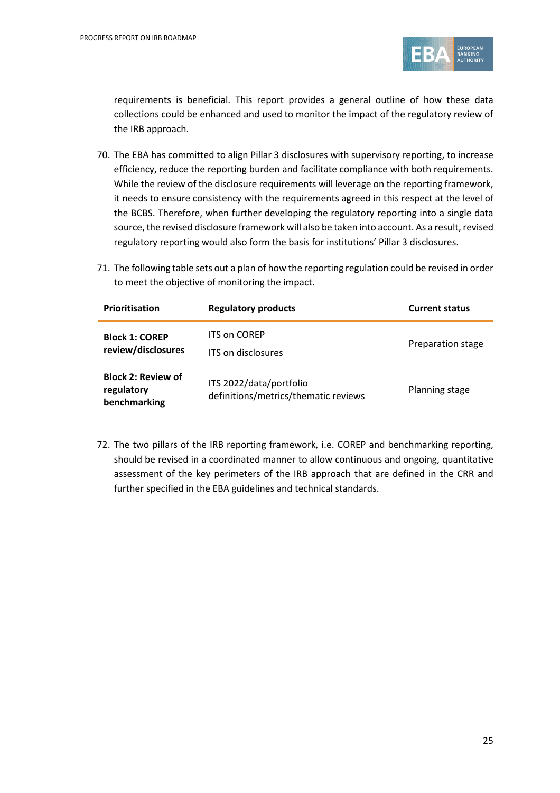

requirements is beneficial. This report provides a general outline of how these data collections could be enhanced and used to monitor the impact of the regulatory review of the IRB approach.

- 70. The EBA has committed to align Pillar 3 disclosures with supervisory reporting, to increase efficiency, reduce the reporting burden and facilitate compliance with both requirements. While the review of the disclosure requirements will leverage on the reporting framework, it needs to ensure consistency with the requirements agreed in this respect at the level of the BCBS. Therefore, when further developing the regulatory reporting into a single data source, the revised disclosure framework will also be taken into account. As a result, revised regulatory reporting would also form the basis for institutions' Pillar 3 disclosures.
- 71. The following table sets out a plan of how the reporting regulation could be revised in order to meet the objective of monitoring the impact.

| <b>Prioritisation</b>                                   | <b>Regulatory products</b>                                      | <b>Current status</b> |
|---------------------------------------------------------|-----------------------------------------------------------------|-----------------------|
| <b>Block 1: COREP</b><br>review/disclosures             | <b>ITS on COREP</b><br>ITS on disclosures                       | Preparation stage     |
| <b>Block 2: Review of</b><br>regulatory<br>benchmarking | ITS 2022/data/portfolio<br>definitions/metrics/thematic reviews | Planning stage        |

72. The two pillars of the IRB reporting framework, i.e. COREP and benchmarking reporting, should be revised in a coordinated manner to allow continuous and ongoing, quantitative assessment of the key perimeters of the IRB approach that are defined in the CRR and further specified in the EBA guidelines and technical standards.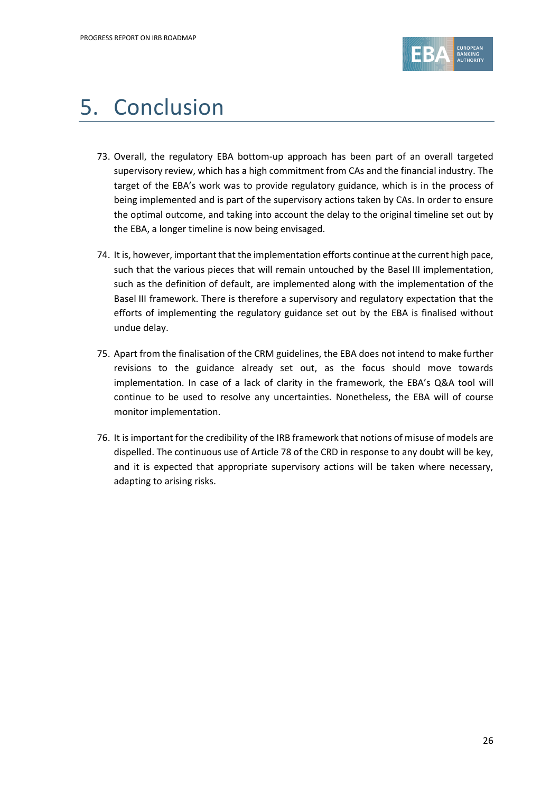

# 5. Conclusion

- 73. Overall, the regulatory EBA bottom-up approach has been part of an overall targeted supervisory review, which has a high commitment from CAs and the financial industry. The target of the EBA's work was to provide regulatory guidance, which is in the process of being implemented and is part of the supervisory actions taken by CAs. In order to ensure the optimal outcome, and taking into account the delay to the original timeline set out by the EBA, a longer timeline is now being envisaged.
- 74. It is, however, important that the implementation efforts continue at the current high pace, such that the various pieces that will remain untouched by the Basel III implementation, such as the definition of default, are implemented along with the implementation of the Basel III framework. There is therefore a supervisory and regulatory expectation that the efforts of implementing the regulatory guidance set out by the EBA is finalised without undue delay.
- 75. Apart from the finalisation of the CRM guidelines, the EBA does not intend to make further revisions to the guidance already set out, as the focus should move towards implementation. In case of a lack of clarity in the framework, the EBA's Q&A tool will continue to be used to resolve any uncertainties. Nonetheless, the EBA will of course monitor implementation.
- 76. It is important for the credibility of the IRB framework that notions of misuse of models are dispelled. The continuous use of Article 78 of the CRD in response to any doubt will be key, and it is expected that appropriate supervisory actions will be taken where necessary, adapting to arising risks.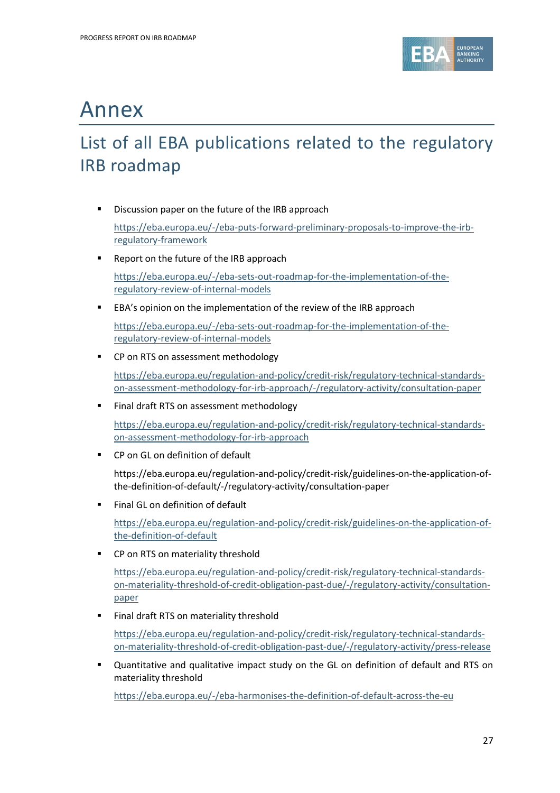

## Annex

### List of all EBA publications related to the regulatory IRB roadmap

**•** Discussion paper on the future of the IRB approach

[https://eba.europa.eu/-/eba-puts-forward-preliminary-proposals-to-improve-the-irb](https://eba.europa.eu/-/eba-puts-forward-preliminary-proposals-to-improve-the-irb-regulatory-framework)[regulatory-framework](https://eba.europa.eu/-/eba-puts-forward-preliminary-proposals-to-improve-the-irb-regulatory-framework)

■ Report on the future of the IRB approach

[https://eba.europa.eu/-/eba-sets-out-roadmap-for-the-implementation-of-the](https://eba.europa.eu/-/eba-sets-out-roadmap-for-the-implementation-of-the-regulatory-review-of-internal-models)[regulatory-review-of-internal-models](https://eba.europa.eu/-/eba-sets-out-roadmap-for-the-implementation-of-the-regulatory-review-of-internal-models)

EBA's opinion on the implementation of the review of the IRB approach

[https://eba.europa.eu/-/eba-sets-out-roadmap-for-the-implementation-of-the](https://eba.europa.eu/-/eba-sets-out-roadmap-for-the-implementation-of-the-regulatory-review-of-internal-models)[regulatory-review-of-internal-models](https://eba.europa.eu/-/eba-sets-out-roadmap-for-the-implementation-of-the-regulatory-review-of-internal-models)

■ CP on RTS on assessment methodology

[https://eba.europa.eu/regulation-and-policy/credit-risk/regulatory-technical-standards](https://eba.europa.eu/regulation-and-policy/credit-risk/regulatory-technical-standards-on-assessment-methodology-for-irb-approach/-/regulatory-activity/consultation-paper)[on-assessment-methodology-for-irb-approach/-/regulatory-activity/consultation-paper](https://eba.europa.eu/regulation-and-policy/credit-risk/regulatory-technical-standards-on-assessment-methodology-for-irb-approach/-/regulatory-activity/consultation-paper)

Final draft RTS on assessment methodology

[https://eba.europa.eu/regulation-and-policy/credit-risk/regulatory-technical-standards](https://eba.europa.eu/regulation-and-policy/credit-risk/regulatory-technical-standards-on-assessment-methodology-for-irb-approach)[on-assessment-methodology-for-irb-approach](https://eba.europa.eu/regulation-and-policy/credit-risk/regulatory-technical-standards-on-assessment-methodology-for-irb-approach)

CP on GL on definition of default

https://eba.europa.eu/regulation-and-policy/credit-risk/guidelines-on-the-application-ofthe-definition-of-default/-/regulatory-activity/consultation-paper

**Final GL on definition of default** 

[https://eba.europa.eu/regulation-and-policy/credit-risk/guidelines-on-the-application-of](https://eba.europa.eu/regulation-and-policy/credit-risk/guidelines-on-the-application-of-the-definition-of-default)[the-definition-of-default](https://eba.europa.eu/regulation-and-policy/credit-risk/guidelines-on-the-application-of-the-definition-of-default)

■ CP on RTS on materiality threshold

[https://eba.europa.eu/regulation-and-policy/credit-risk/regulatory-technical-standards](https://eba.europa.eu/regulation-and-policy/credit-risk/regulatory-technical-standards-on-materiality-threshold-of-credit-obligation-past-due/-/regulatory-activity/consultation-paper)[on-materiality-threshold-of-credit-obligation-past-due/-/regulatory-activity/consultation](https://eba.europa.eu/regulation-and-policy/credit-risk/regulatory-technical-standards-on-materiality-threshold-of-credit-obligation-past-due/-/regulatory-activity/consultation-paper)[paper](https://eba.europa.eu/regulation-and-policy/credit-risk/regulatory-technical-standards-on-materiality-threshold-of-credit-obligation-past-due/-/regulatory-activity/consultation-paper)

Final draft RTS on materiality threshold

[https://eba.europa.eu/regulation-and-policy/credit-risk/regulatory-technical-standards](https://eba.europa.eu/regulation-and-policy/credit-risk/regulatory-technical-standards-on-materiality-threshold-of-credit-obligation-past-due/-/regulatory-activity/press-release)[on-materiality-threshold-of-credit-obligation-past-due/-/regulatory-activity/press-release](https://eba.europa.eu/regulation-and-policy/credit-risk/regulatory-technical-standards-on-materiality-threshold-of-credit-obligation-past-due/-/regulatory-activity/press-release)

 Quantitative and qualitative impact study on the GL on definition of default and RTS on materiality threshold

<https://eba.europa.eu/-/eba-harmonises-the-definition-of-default-across-the-eu>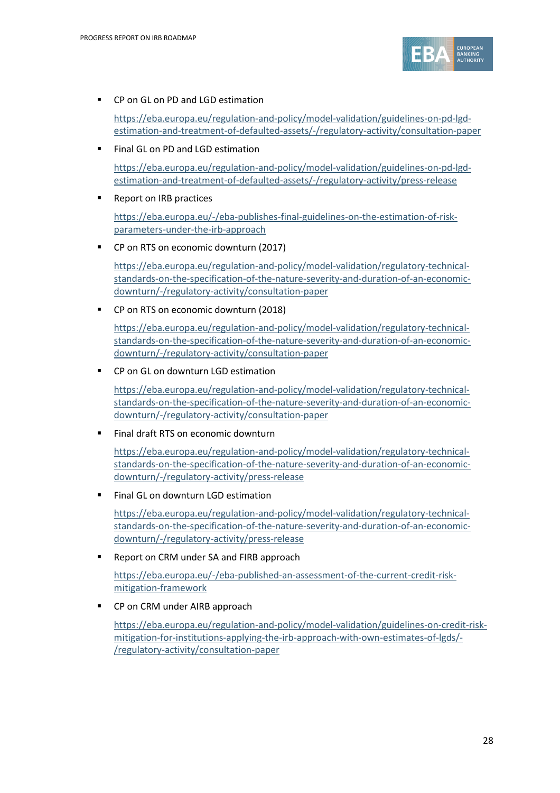

■ CP on GL on PD and LGD estimation

[https://eba.europa.eu/regulation-and-policy/model-validation/guidelines-on-pd-lgd](https://eba.europa.eu/regulation-and-policy/model-validation/guidelines-on-pd-lgd-estimation-and-treatment-of-defaulted-assets/-/regulatory-activity/consultation-paper)[estimation-and-treatment-of-defaulted-assets/-/regulatory-activity/consultation-paper](https://eba.europa.eu/regulation-and-policy/model-validation/guidelines-on-pd-lgd-estimation-and-treatment-of-defaulted-assets/-/regulatory-activity/consultation-paper)

Final GL on PD and LGD estimation

[https://eba.europa.eu/regulation-and-policy/model-validation/guidelines-on-pd-lgd](https://eba.europa.eu/regulation-and-policy/model-validation/guidelines-on-pd-lgd-estimation-and-treatment-of-defaulted-assets/-/regulatory-activity/press-release)[estimation-and-treatment-of-defaulted-assets/-/regulatory-activity/press-release](https://eba.europa.eu/regulation-and-policy/model-validation/guidelines-on-pd-lgd-estimation-and-treatment-of-defaulted-assets/-/regulatory-activity/press-release)

Report on IRB practices

[https://eba.europa.eu/-/eba-publishes-final-guidelines-on-the-estimation-of-risk](https://eba.europa.eu/-/eba-publishes-final-guidelines-on-the-estimation-of-risk-parameters-under-the-irb-approach)[parameters-under-the-irb-approach](https://eba.europa.eu/-/eba-publishes-final-guidelines-on-the-estimation-of-risk-parameters-under-the-irb-approach)

■ CP on RTS on economic downturn (2017)

[https://eba.europa.eu/regulation-and-policy/model-validation/regulatory-technical](https://eba.europa.eu/regulation-and-policy/model-validation/regulatory-technical-standards-on-the-specification-of-the-nature-severity-and-duration-of-an-economic-downturn/-/regulatory-activity/consultation-paper)[standards-on-the-specification-of-the-nature-severity-and-duration-of-an-economic](https://eba.europa.eu/regulation-and-policy/model-validation/regulatory-technical-standards-on-the-specification-of-the-nature-severity-and-duration-of-an-economic-downturn/-/regulatory-activity/consultation-paper)[downturn/-/regulatory-activity/consultation-paper](https://eba.europa.eu/regulation-and-policy/model-validation/regulatory-technical-standards-on-the-specification-of-the-nature-severity-and-duration-of-an-economic-downturn/-/regulatory-activity/consultation-paper)

CP on RTS on economic downturn (2018)

[https://eba.europa.eu/regulation-and-policy/model-validation/regulatory-technical](https://eba.europa.eu/regulation-and-policy/model-validation/regulatory-technical-standards-on-the-specification-of-the-nature-severity-and-duration-of-an-economic-downturn/-/regulatory-activity/consultation-paper)[standards-on-the-specification-of-the-nature-severity-and-duration-of-an-economic](https://eba.europa.eu/regulation-and-policy/model-validation/regulatory-technical-standards-on-the-specification-of-the-nature-severity-and-duration-of-an-economic-downturn/-/regulatory-activity/consultation-paper)[downturn/-/regulatory-activity/consultation-paper](https://eba.europa.eu/regulation-and-policy/model-validation/regulatory-technical-standards-on-the-specification-of-the-nature-severity-and-duration-of-an-economic-downturn/-/regulatory-activity/consultation-paper)

■ CP on GL on downturn LGD estimation

[https://eba.europa.eu/regulation-and-policy/model-validation/regulatory-technical](https://eba.europa.eu/regulation-and-policy/model-validation/regulatory-technical-standards-on-the-specification-of-the-nature-severity-and-duration-of-an-economic-downturn/-/regulatory-activity/consultation-paper)[standards-on-the-specification-of-the-nature-severity-and-duration-of-an-economic](https://eba.europa.eu/regulation-and-policy/model-validation/regulatory-technical-standards-on-the-specification-of-the-nature-severity-and-duration-of-an-economic-downturn/-/regulatory-activity/consultation-paper)[downturn/-/regulatory-activity/consultation-paper](https://eba.europa.eu/regulation-and-policy/model-validation/regulatory-technical-standards-on-the-specification-of-the-nature-severity-and-duration-of-an-economic-downturn/-/regulatory-activity/consultation-paper)

Final draft RTS on economic downturn

[https://eba.europa.eu/regulation-and-policy/model-validation/regulatory-technical](https://eba.europa.eu/regulation-and-policy/model-validation/regulatory-technical-standards-on-the-specification-of-the-nature-severity-and-duration-of-an-economic-downturn/-/regulatory-activity/press-release)[standards-on-the-specification-of-the-nature-severity-and-duration-of-an-economic](https://eba.europa.eu/regulation-and-policy/model-validation/regulatory-technical-standards-on-the-specification-of-the-nature-severity-and-duration-of-an-economic-downturn/-/regulatory-activity/press-release)[downturn/-/regulatory-activity/press-release](https://eba.europa.eu/regulation-and-policy/model-validation/regulatory-technical-standards-on-the-specification-of-the-nature-severity-and-duration-of-an-economic-downturn/-/regulatory-activity/press-release)

Final GL on downturn LGD estimation

[https://eba.europa.eu/regulation-and-policy/model-validation/regulatory-technical](https://eba.europa.eu/regulation-and-policy/model-validation/regulatory-technical-standards-on-the-specification-of-the-nature-severity-and-duration-of-an-economic-downturn/-/regulatory-activity/press-release)[standards-on-the-specification-of-the-nature-severity-and-duration-of-an-economic](https://eba.europa.eu/regulation-and-policy/model-validation/regulatory-technical-standards-on-the-specification-of-the-nature-severity-and-duration-of-an-economic-downturn/-/regulatory-activity/press-release)[downturn/-/regulatory-activity/press-release](https://eba.europa.eu/regulation-and-policy/model-validation/regulatory-technical-standards-on-the-specification-of-the-nature-severity-and-duration-of-an-economic-downturn/-/regulatory-activity/press-release)

■ Report on CRM under SA and FIRB approach

[https://eba.europa.eu/-/eba-published-an-assessment-of-the-current-credit-risk](https://eba.europa.eu/-/eba-published-an-assessment-of-the-current-credit-risk-mitigation-framework)[mitigation-framework](https://eba.europa.eu/-/eba-published-an-assessment-of-the-current-credit-risk-mitigation-framework)

■ CP on CRM under AIRB approach

[https://eba.europa.eu/regulation-and-policy/model-validation/guidelines-on-credit-risk](https://eba.europa.eu/regulation-and-policy/model-validation/guidelines-on-credit-risk-mitigation-for-institutions-applying-the-irb-approach-with-own-estimates-of-lgds/-/regulatory-activity/consultation-paper)[mitigation-for-institutions-applying-the-irb-approach-with-own-estimates-of-lgds/-](https://eba.europa.eu/regulation-and-policy/model-validation/guidelines-on-credit-risk-mitigation-for-institutions-applying-the-irb-approach-with-own-estimates-of-lgds/-/regulatory-activity/consultation-paper) [/regulatory-activity/consultation-paper](https://eba.europa.eu/regulation-and-policy/model-validation/guidelines-on-credit-risk-mitigation-for-institutions-applying-the-irb-approach-with-own-estimates-of-lgds/-/regulatory-activity/consultation-paper)